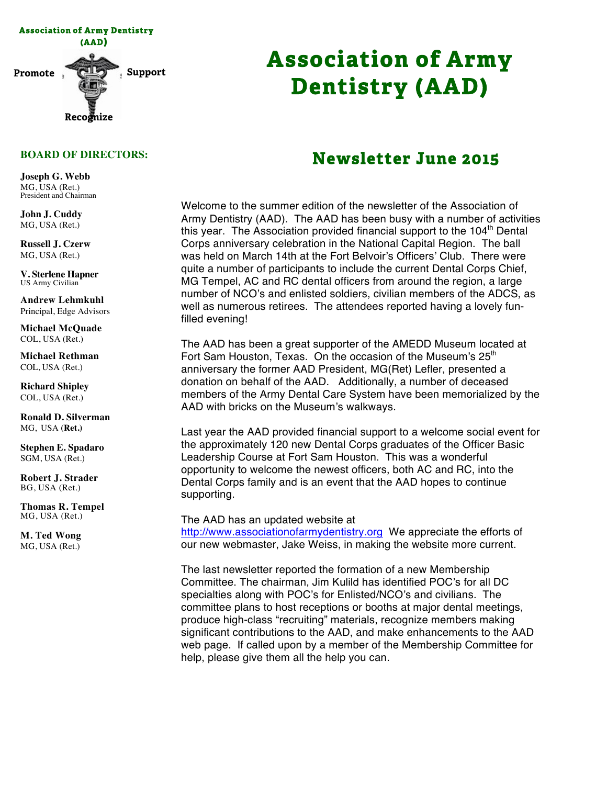

# **Association of Army Dentistry (AAD)**

#### **BOARD OF DIRECTORS:**

**Joseph G. Webb** MG, USA (Ret.) President and Chairman

**John J. Cuddy** MG, USA (Ret.)

**Russell J. Czerw** MG, USA (Ret.)

**V. Sterlene Hapner** US Army Civilian

**Andrew Lehmkuhl** Principal, Edge Advisors

**Michael McQuade** COL, USA (Ret.)

**Michael Rethman** COL, USA (Ret.)

**Richard Shipley** COL, USA (Ret.)

**Ronald D. Silverman** MG, USA **(Ret.)**

**Stephen E. Spadaro** SGM, USA (Ret.)

**Robert J. Strader** BG, USA (Ret.)

**Thomas R. Tempel** MG, USA (Ret.)

**M. Ted Wong** MG, USA (Ret.)

## **Newsletter June 2015**

Welcome to the summer edition of the newsletter of the Association of Army Dentistry (AAD). The AAD has been busy with a number of activities this year. The Association provided financial support to the  $104<sup>th</sup>$  Dental Corps anniversary celebration in the National Capital Region. The ball was held on March 14th at the Fort Belvoir's Officers' Club. There were quite a number of participants to include the current Dental Corps Chief, MG Tempel, AC and RC dental officers from around the region, a large number of NCO's and enlisted soldiers, civilian members of the ADCS, as well as numerous retirees. The attendees reported having a lovely funfilled evening!

The AAD has been a great supporter of the AMEDD Museum located at Fort Sam Houston, Texas. On the occasion of the Museum's 25<sup>th</sup> anniversary the former AAD President, MG(Ret) Lefler, presented a donation on behalf of the AAD. Additionally, a number of deceased members of the Army Dental Care System have been memorialized by the AAD with bricks on the Museum's walkways.

Last year the AAD provided financial support to a welcome social event for the approximately 120 new Dental Corps graduates of the Officer Basic Leadership Course at Fort Sam Houston. This was a wonderful opportunity to welcome the newest officers, both AC and RC, into the Dental Corps family and is an event that the AAD hopes to continue supporting.

#### The AAD has an updated website at

http://www.associationofarmydentistry.org We appreciate the efforts of our new webmaster, Jake Weiss, in making the website more current.

The last newsletter reported the formation of a new Membership Committee. The chairman, Jim Kulild has identified POC's for all DC specialties along with POC's for Enlisted/NCO's and civilians. The committee plans to host receptions or booths at major dental meetings, produce high-class "recruiting" materials, recognize members making significant contributions to the AAD, and make enhancements to the AAD web page. If called upon by a member of the Membership Committee for help, please give them all the help you can.